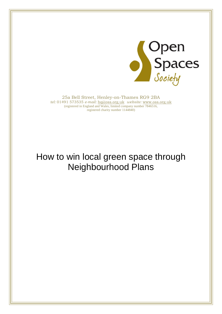

25a Bell Street, Henley-on-Thames RG9 2BA *tel:* 01491 573535 *e-mail:* [hq@oss.org.uk](mailto:hq@oss.org.uk) *website:* [www.oss.org.uk](http://www.oss.org.uk/) (registered in England and Wales, limited company number 7846516, registered charity number 1144840)

# How to win local green space through Neighbourhood Plans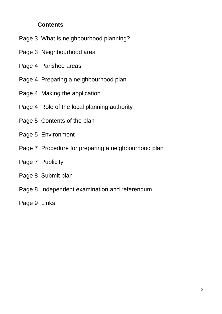#### **Contents**

- Page 3 What is neighbourhood planning?
- Page 3 Neighbourhood area
- Page 4 Parished areas
- Page 4 Preparing a neighbourhood plan
- Page 4 Making the application
- Page 4 Role of the local planning authority
- Page 5 Contents of the plan
- Page 5 Environment
- Page 7 Procedure for preparing a neighbourhood plan
- Page 7 Publicity
- Page 8 Submit plan
- Page 8 Independent examination and referendum
- Page 9 Links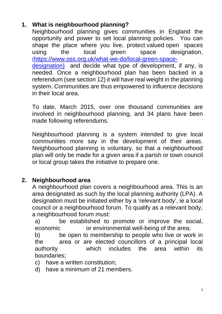## **1. What is neighbourhood planning?**

Neighbourhood planning gives communities in England the opportunity and power to set local planning policies. You can shape the place where you live, protect valued open spaces using the local green space designation, ([https://www.oss.org.uk/what-we-do/local-green-space](https://www.oss.org.uk/what-we-do/local-green-space-designation))[designation\)](https://www.oss.org.uk/what-we-do/local-green-space-designation)) and decide what type of development, if any, is needed. Once a neighbourhood plan has been backed in a referendum (see section 12) it will have real weight in the planning system. Communities are thus empowered to influence decisions in their local area.

To date, March 2015, over one thousand communities are involved in neighbourhood planning, and 34 plans have been made following referendums.

Neighbourhood planning is a system intended to give local communities more say in the development of their areas. Neighbourhood planning is voluntary, so that a neighbourhood plan will only be made for a given area if a parish or town council or local group takes the initiative to prepare one.

### **2. Neighbourhood area**

A neighbourhood plan covers a neighbourhood area. This is an area designated as such by the local planning authority (LPA). A designation must be initiated either by a 'relevant body', ie a local council or a neighbourhood forum. To qualify as a relevant body, a neighbourhood forum must:

a) be established to promote or improve the social, economic or environmental well-being of the area;

b) be open to membership to people who live or work in the area or are elected councillors of a principal local authority which includes the area within its boundaries;

c) have a written constitution;

d) have a minimum of 21 members.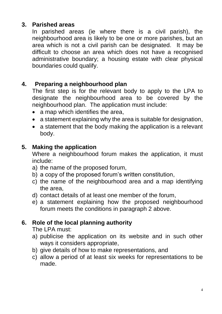## **3. Parished areas**

In parished areas (ie where there is a civil parish), the neighbourhood area is likely to be one or more parishes, but an area which is not a civil parish can be designated. It may be difficult to choose an area which does not have a recognised administrative boundary; a housing estate with clear physical boundaries could qualify.

## **4. Preparing a neighbourhood plan**

The first step is for the relevant body to apply to the LPA to designate the neighbourhood area to be covered by the neighbourhood plan. The application must include:

- a map which identifies the area,
- a statement explaining why the area is suitable for designation,
- a statement that the body making the application is a relevant body.

## **5. Making the application**

Where a neighbourhood forum makes the application, it must include:

- a) the name of the proposed forum,
- b) a copy of the proposed forum's written constitution,
- c) the name of the neighbourhood area and a map identifying the area,
- d) contact details of at least one member of the forum,
- e) a statement explaining how the proposed neighbourhood forum meets the conditions in paragraph 2 above.

## **6. Role of the local planning authority**

The LPA must:

- a) publicise the application on its website and in such other ways it considers appropriate,
- b) give details of how to make representations, and
- c) allow a period of at least six weeks for representations to be made.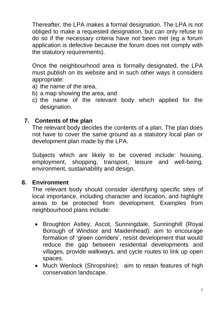Thereafter, the LPA makes a formal designation. The LPA is not obliged to make a requested designation, but can only refuse to do so if the necessary criteria have not been met (eg a forum application is defective because the forum does not comply with the statutory requirements).

Once the neighbourhood area is formally designated, the LPA must publish on its website and in such other ways it considers appropriate:

- a) the name of the area,
- b) a map showing the area, and
- c) the name of the relevant body which applied for the designation.

#### **7. Contents of the plan**

The relevant body decides the contents of a plan. The plan does not have to cover the same ground as a statutory local plan or development plan made by the LPA.

Subjects which are likely to be covered include: housing, employment, shopping, transport, leisure and well-being, environment, sustainability and design.

#### **8. Environment**

The relevant body should consider identifying specific sites of local importance, including character and location, and highlight areas to be protected from development. Examples from neighbourhood plans include:

- Broughton Astley, Ascot, Sunningdale, Sunninghill (Royal Borough of Windsor and Maidenhead): aim to encourage formation of 'green corriders', resist development that would reduce the gap between residential developments and villages, provide walkways, and cycle routes to link up open spaces.
- Much Wenlock (Shropshire): aim to retain features of high conservation landscape.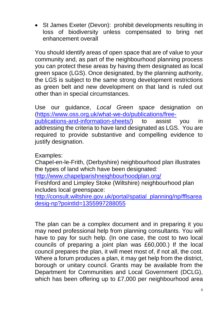• St James Exeter (Devon): prohibit developments resulting in loss of biodiversity unless compensated to bring net enhancement overall

You should identify areas of open space that are of value to your community and, as part of the neighbourhood planning process you can protect these areas by having them designated as local green space (LGS). Once designated, by the planning authority, the LGS is subject to the same strong development restrictions as green belt and new development on that land is ruled out other than in special circumstances.

Use our guidance, *Local Green space* designation on [\(https://www.oss.org.uk/what-we-do/publications/free](https://www.oss.org.uk/what-we-do/publications/free-publications-and-information-sheets/)[publications-and-information-sheets/\)](https://www.oss.org.uk/what-we-do/publications/free-publications-and-information-sheets/) to assist you in addressing the criteria to have land designated as LGS. You are required to provide substantive and compelling evidence to justify designation.

Examples:

Chapel-en-le-Frith, (Derbyshire) neighbourhood plan illustrates the types of land which have been designated:

<http://www.chapelparishneighbourhoodplan.org/>

Freshford and Limpley Stoke (Wiltshire) neighbourhood plan includes local greenspace:

[http://consult.wiltshire.gov.uk/portal/spatial\\_planning/np/fflsarea](http://consult.wiltshire.gov.uk/portal/spatial_planning/np/fflsareadesig-np?pointId=1355997288055) [desig-np?pointId=1355997288055](http://consult.wiltshire.gov.uk/portal/spatial_planning/np/fflsareadesig-np?pointId=1355997288055)

The plan can be a complex document and in preparing it you may need professional help from planning consultants. You will have to pay for such help. (In one case, the cost to two local councils of preparing a joint plan was £60,000.) If the local council prepares the plan, it will meet most of, if not all, the cost. Where a forum produces a plan, it may get help from the district, borough or unitary council. Grants may be available from the Department for Communities and Local Government (DCLG), which has been offering up to £7,000 per neighbourhood area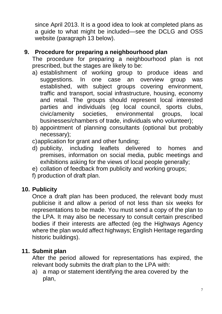since April 2013. It is a good idea to look at completed plans as a guide to what might be included—see the DCLG and OSS website (paragraph 13 below).

#### **9. Procedure for preparing a neighbourhood plan**

The procedure for preparing a neighbourhood plan is not prescribed, but the stages are likely to be:

- a) establishment of working group to produce ideas and suggestions. In one case an overview group was established, with subject groups covering environment, traffic and transport, social infrastructure, housing, economy and retail. The groups should represent local interested parties and individuals (eg local council, sports clubs, civic/amenity societies, environmental groups, local businesses/chambers of trade, individuals who volunteer);
- b) appointment of planning consultants (optional but probably necessary);
- c)application for grant and other funding;
- d) publicity, including leaflets delivered to homes and premises, information on social media, public meetings and exhibitions asking for the views of local people generally;
- e) collation of feedback from publicity and working groups;
- f) production of draft plan.

#### **10. Publicity**

Once a draft plan has been produced, the relevant body must publicise it and allow a period of not less than six weeks for representations to be made. You must send a copy of the plan to the LPA. It may also be necessary to consult certain prescribed bodies if their interests are affected (eg the Highways Agency where the plan would affect highways; English Heritage regarding historic buildings).

#### **11. Submit plan**

After the period allowed for representations has expired, the relevant body submits the draft plan to the LPA with:

a) a map or statement identifying the area covered by the plan,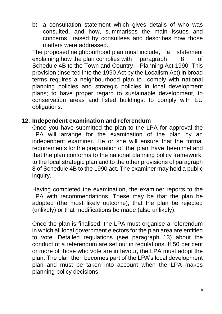b) a consultation statement which gives details of who was consulted, and how, summarises the main issues and concerns raised by consultees and describes how those matters were addressed.

The proposed neighbourhood plan must include, a statement explaining how the plan complies with paragraph 8 of Schedule 4B to the Town and Country Planning Act 1990. This provision (inserted into the 1990 Act by the Localism Act) in broad terms requires a neighbourhood plan to comply with national planning policies and strategic policies in local development plans; to have proper regard to sustainable development, to conservation areas and listed buildings; to comply with EU obligations.

#### **12. Independent examination and referendum**

Once you have submitted the plan to the LPA for approval the LPA will arrange for the examination of the plan by an independent examiner. He or she will ensure that the formal requirements for the preparation of the plan have been met and that the plan conforms to the national planning policy framework, to the local strategic plan and to the other provisions of paragraph 8 of Schedule 4B to the 1990 act. The examiner may hold a public inquiry.

Having completed the examination, the examiner reports to the LPA with recommendations. These may be that the plan be adopted (the most likely outcome), that the plan be rejected (unlikely) or that modifications be made (also unlikely).

Once the plan is finalised, the LPA must organise a referendum in which all local government electors for the plan area are entitled to vote. Detailed regulations (see paragraph 13) about the conduct of a referendum are set out in regulations. If 50 per cent or more of those who vote are in favour, the LPA must adopt the plan. The plan then becomes part of the LPA's local development plan and must be taken into account when the LPA makes planning policy decisions.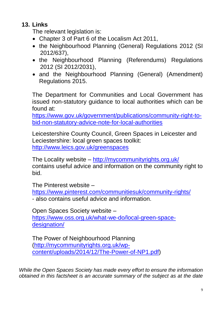## **13. Links**

The relevant legislation is:

- Chapter 3 of Part 6 of the Localism Act 2011,
- the Neighbourhood Planning (General) Regulations 2012 (SI 2012/637),
- the Neighbourhood Planning (Referendums) Regulations 2012 (SI 2012/2031),
- and the Neighbourhood Planning (General) (Amendment) Regulations 2015.

The Department for Communities and Local Government has issued non-statutory guidance to local authorities which can be found at:

[https://www.gov.uk/government/publications/community-right-to](https://www.gov.uk/government/publications/community-right-to-bid-non-statutory-advice-note-for-local-authorities)[bid-non-statutory-advice-note-for-local-authorities](https://www.gov.uk/government/publications/community-right-to-bid-non-statutory-advice-note-for-local-authorities)

Leicestershire County Council, Green Spaces in Leicester and Leciestershire: local green spaces toolkit: <http://www.leics.gov.uk/greenspaces>

The Locality website – <http://mycommunityrights.org.uk/> contains useful advice and information on the community right to bid.

The Pinterest website –

<https://www.pinterest.com/communitiesuk/community-rights/> - also contains useful advice and information.

Open Spaces Society website – [https://www.oss.org.uk/what-we-do/local-green-space](https://www.oss.org.uk/what-we-do/local-green-space-designation/)[designation/](https://www.oss.org.uk/what-we-do/local-green-space-designation/)

The Power of Neighbourhood Planning [\(http://mycommunityrights.org.uk/wp](http://mycommunityrights.org.uk/wp-content/uploads/2014/12/The-Power-of-NP1.pdf)[content/uploads/2014/12/The-Power-of-NP1.pdf\)](http://mycommunityrights.org.uk/wp-content/uploads/2014/12/The-Power-of-NP1.pdf)

*While the Open Spaces Society has made every effort to ensure the information obtained in this factsheet is an accurate summary of the subject as at the date*